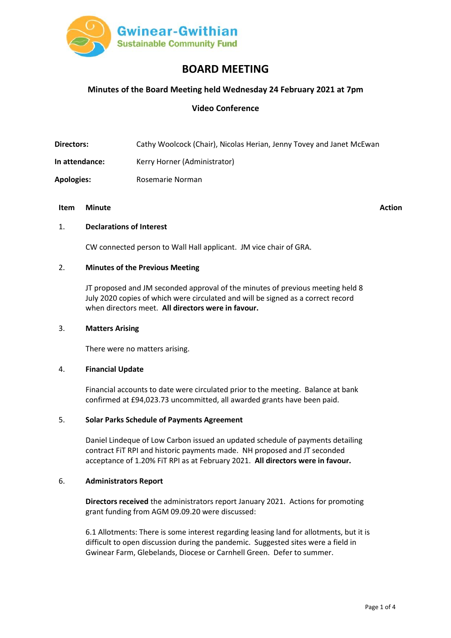

# **BOARD MEETING**

# **Minutes of the Board Meeting held Wednesday 24 February 2021 at 7pm**

# **Video Conference**

**Directors:** Cathy Woolcock (Chair), Nicolas Herian, Jenny Tovey and Janet McEwan

**In attendance:** Kerry Horner (Administrator)

**Apologies:** Rosemarie Norman

## **Item Minute Action**

## 1. **Declarations of Interest**

CW connected person to Wall Hall applicant. JM vice chair of GRA.

## 2. **Minutes of the Previous Meeting**

JT proposed and JM seconded approval of the minutes of previous meeting held 8 July 2020 copies of which were circulated and will be signed as a correct record when directors meet. **All directors were in favour.**

## 3. **Matters Arising**

There were no matters arising.

## 4. **Financial Update**

Financial accounts to date were circulated prior to the meeting. Balance at bank confirmed at £94,023.73 uncommitted, all awarded grants have been paid.

## 5. **Solar Parks Schedule of Payments Agreement**

Daniel Lindeque of Low Carbon issued an updated schedule of payments detailing contract FiT RPI and historic payments made. NH proposed and JT seconded acceptance of 1.20% FiT RPI as at February 2021. **All directors were in favour.** 

#### 6. **Administrators Report**

**Directors received** the administrators report January 2021. Actions for promoting grant funding from AGM 09.09.20 were discussed:

6.1 Allotments: There is some interest regarding leasing land for allotments, but it is difficult to open discussion during the pandemic. Suggested sites were a field in Gwinear Farm, Glebelands, Diocese or Carnhell Green. Defer to summer.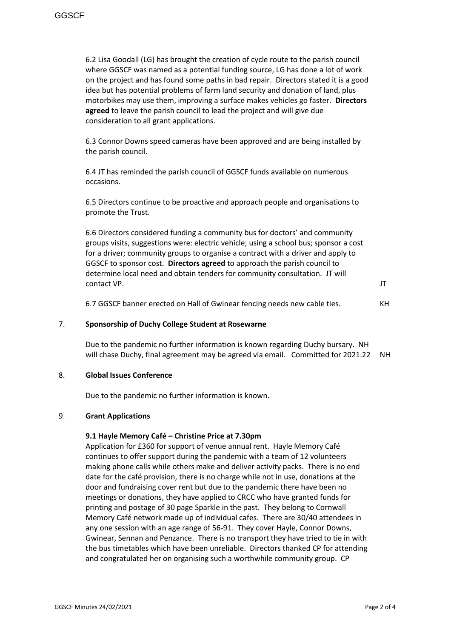6.2 Lisa Goodall (LG) has brought the creation of cycle route to the parish council where GGSCF was named as a potential funding source, LG has done a lot of work on the project and has found some paths in bad repair. Directors stated it is a good idea but has potential problems of farm land security and donation of land, plus motorbikes may use them, improving a surface makes vehicles go faster. **Directors agreed** to leave the parish council to lead the project and will give due consideration to all grant applications.

6.3 Connor Downs speed cameras have been approved and are being installed by the parish council.

6.4 JT has reminded the parish council of GGSCF funds available on numerous occasions.

6.5 Directors continue to be proactive and approach people and organisations to promote the Trust.

6.6 Directors considered funding a community bus for doctors' and community groups visits, suggestions were: electric vehicle; using a school bus; sponsor a cost for a driver; community groups to organise a contract with a driver and apply to GGSCF to sponsor cost. **Directors agreed** to approach the parish council to determine local need and obtain tenders for community consultation. JT will contact VP.

6.7 GGSCF banner erected on Hall of Gwinear fencing needs new cable ties. KH

## 7. **Sponsorship of Duchy College Student at Rosewarne**

Due to the pandemic no further information is known regarding Duchy bursary. NH will chase Duchy, final agreement may be agreed via email. Committed for 2021.22 NH

#### 8. **Global Issues Conference**

Due to the pandemic no further information is known.

#### 9. **Grant Applications**

#### **9.1 Hayle Memory Café – Christine Price at 7.30pm**

Application for £360 for support of venue annual rent. Hayle Memory Café continues to offer support during the pandemic with a team of 12 volunteers making phone calls while others make and deliver activity packs. There is no end date for the café provision, there is no charge while not in use, donations at the door and fundraising cover rent but due to the pandemic there have been no meetings or donations, they have applied to CRCC who have granted funds for printing and postage of 30 page Sparkle in the past. They belong to Cornwall Memory Café network made up of individual cafes. There are 30/40 attendees in any one session with an age range of 56-91. They cover Hayle, Connor Downs, Gwinear, Sennan and Penzance. There is no transport they have tried to tie in with the bus timetables which have been unreliable. Directors thanked CP for attending and congratulated her on organising such a worthwhile community group. CP

JT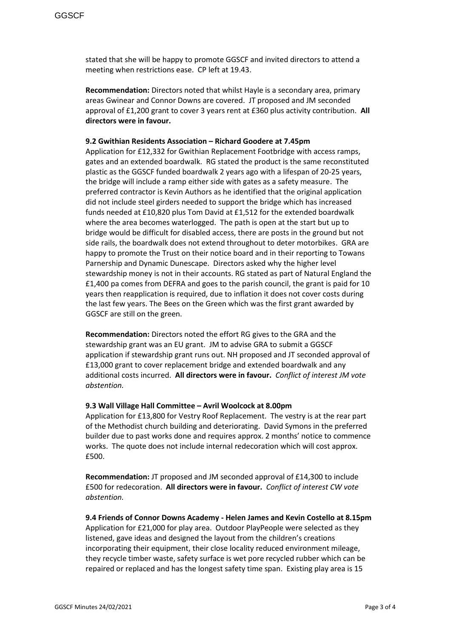stated that she will be happy to promote GGSCF and invited directors to attend a meeting when restrictions ease. CP left at 19.43.

**Recommendation:** Directors noted that whilst Hayle is a secondary area, primary areas Gwinear and Connor Downs are covered. JT proposed and JM seconded approval of £1,200 grant to cover 3 years rent at £360 plus activity contribution. **All directors were in favour.**

## **9.2 Gwithian Residents Association – Richard Goodere at 7.45pm**

Application for £12,332 for Gwithian Replacement Footbridge with access ramps, gates and an extended boardwalk. RG stated the product is the same reconstituted plastic as the GGSCF funded boardwalk 2 years ago with a lifespan of 20-25 years, the bridge will include a ramp either side with gates as a safety measure. The preferred contractor is Kevin Authors as he identified that the original application did not include steel girders needed to support the bridge which has increased funds needed at £10,820 plus Tom David at £1,512 for the extended boardwalk where the area becomes waterlogged. The path is open at the start but up to bridge would be difficult for disabled access, there are posts in the ground but not side rails, the boardwalk does not extend throughout to deter motorbikes. GRA are happy to promote the Trust on their notice board and in their reporting to Towans Parnership and Dynamic Dunescape. Directors asked why the higher level stewardship money is not in their accounts. RG stated as part of Natural England the £1,400 pa comes from DEFRA and goes to the parish council, the grant is paid for 10 years then reapplication is required, due to inflation it does not cover costs during the last few years. The Bees on the Green which was the first grant awarded by GGSCF are still on the green.

**Recommendation:** Directors noted the effort RG gives to the GRA and the stewardship grant was an EU grant. JM to advise GRA to submit a GGSCF application if stewardship grant runs out. NH proposed and JT seconded approval of £13,000 grant to cover replacement bridge and extended boardwalk and any additional costs incurred. **All directors were in favour.** *Conflict of interest JM vote abstention.* 

#### **9.3 Wall Village Hall Committee – Avril Woolcock at 8.00pm**

Application for £13,800 for Vestry Roof Replacement. The vestry is at the rear part of the Methodist church building and deteriorating. David Symons in the preferred builder due to past works done and requires approx. 2 months' notice to commence works. The quote does not include internal redecoration which will cost approx. £500.

**Recommendation:** JT proposed and JM seconded approval of £14,300 to include £500 for redecoration. **All directors were in favour.** *Conflict of interest CW vote abstention.*

**9.4 Friends of Connor Downs Academy - Helen James and Kevin Costello at 8.15pm** Application for £21,000 for play area. Outdoor PlayPeople were selected as they listened, gave ideas and designed the layout from the children's creations incorporating their equipment, their close locality reduced environment mileage, they recycle timber waste, safety surface is wet pore recycled rubber which can be repaired or replaced and has the longest safety time span. Existing play area is 15